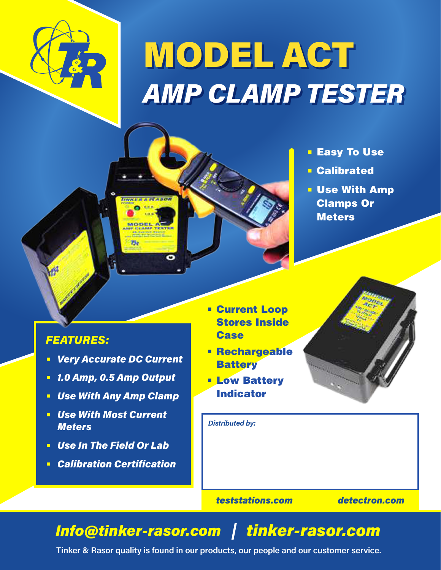

## MODEL ACT *AMP CLAMP TESTER*

- Easy To Use
- Calibrated
- Use With Amp Clamps Or **Meters**

## *FEATURES:*

**•** *Very Accurate DC Current*

**UNKERA PLASON** o **uu** 

**MODEL** 

 $25$ 

- **•** *1.0 Amp, 0.5 Amp Output*
- **•** *Use With Any Amp Clamp*
- **•** *Use With Most Current Meters*
- **•** *Use In The Field Or Lab*
- **•** *Calibration Certification*
- **•** Current Loop Stores Inside **Case**
- **•** Rechargeable **Battery**
- **•** Low Battery Indicator



*Distributed by:*

*teststations.com detectron.com*

## *Info@tinker-rasor.com tinker-rasor.com*

**Tinker & Rasor quality is found in our products, our people and our customer service.**